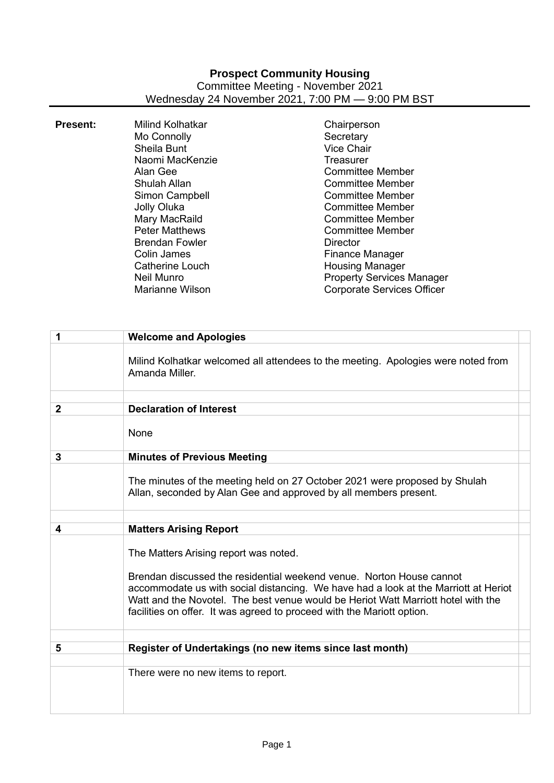## **Prospect Community Housing** Committee Meeting - November 2021 Wednesday 24 November 2021, 7:00 PM — 9:00 PM BST

| <b>Present:</b> | Milind Kolhatkar<br>Mo Connolly<br>Sheila Bunt<br>Naomi MacKenzie<br>Alan Gee<br>Shulah Allan<br>Simon Campbell<br>Jolly Oluka<br>Mary MacRaild<br><b>Peter Matthews</b><br><b>Brendan Fowler</b><br>Colin James<br>Catherine Louch<br>Neil Munro | Chairperson<br>Secretary<br><b>Vice Chair</b><br><b>Treasurer</b><br><b>Committee Member</b><br>Committee Member<br><b>Committee Member</b><br><b>Committee Member</b><br><b>Committee Member</b><br><b>Committee Member</b><br>Director<br>Finance Manager<br><b>Housing Manager</b> |
|-----------------|---------------------------------------------------------------------------------------------------------------------------------------------------------------------------------------------------------------------------------------------------|---------------------------------------------------------------------------------------------------------------------------------------------------------------------------------------------------------------------------------------------------------------------------------------|
|                 | <b>Marianne Wilson</b>                                                                                                                                                                                                                            | <b>Property Services Manager</b><br><b>Corporate Services Officer</b>                                                                                                                                                                                                                 |

| 1              | <b>Welcome and Apologies</b>                                                                                                                                                                                                                                                                                                                                        |
|----------------|---------------------------------------------------------------------------------------------------------------------------------------------------------------------------------------------------------------------------------------------------------------------------------------------------------------------------------------------------------------------|
|                | Milind Kolhatkar welcomed all attendees to the meeting. Apologies were noted from<br>Amanda Miller.                                                                                                                                                                                                                                                                 |
| $\overline{2}$ | <b>Declaration of Interest</b>                                                                                                                                                                                                                                                                                                                                      |
|                |                                                                                                                                                                                                                                                                                                                                                                     |
|                | None                                                                                                                                                                                                                                                                                                                                                                |
| 3              | <b>Minutes of Previous Meeting</b>                                                                                                                                                                                                                                                                                                                                  |
|                | The minutes of the meeting held on 27 October 2021 were proposed by Shulah<br>Allan, seconded by Alan Gee and approved by all members present.                                                                                                                                                                                                                      |
|                |                                                                                                                                                                                                                                                                                                                                                                     |
| 4              | <b>Matters Arising Report</b>                                                                                                                                                                                                                                                                                                                                       |
|                | The Matters Arising report was noted.<br>Brendan discussed the residential weekend venue. Norton House cannot<br>accommodate us with social distancing. We have had a look at the Marriott at Heriot<br>Watt and the Novotel. The best venue would be Heriot Watt Marriott hotel with the<br>facilities on offer. It was agreed to proceed with the Mariott option. |
| 5              | Register of Undertakings (no new items since last month)                                                                                                                                                                                                                                                                                                            |
|                |                                                                                                                                                                                                                                                                                                                                                                     |
|                | There were no new items to report.                                                                                                                                                                                                                                                                                                                                  |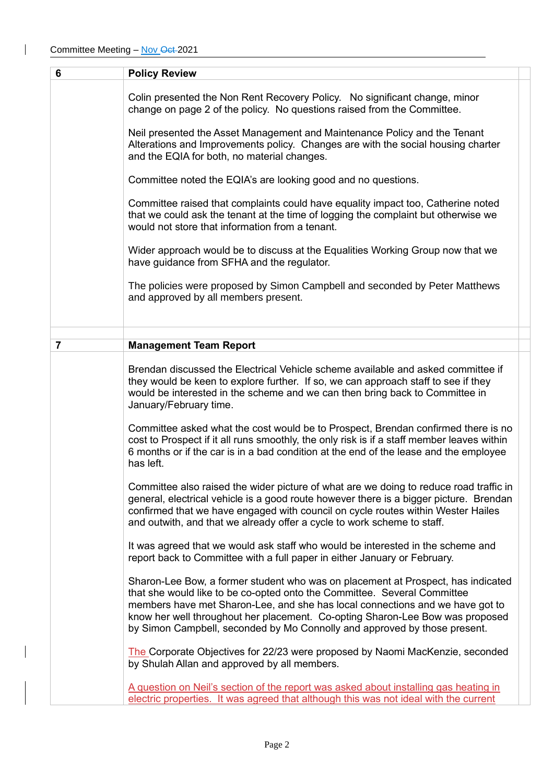$\overline{\phantom{a}}$ 

| $6\phantom{1}6$ | <b>Policy Review</b>                                                                                                                                                                                                                                                                                                                                                                                        |  |
|-----------------|-------------------------------------------------------------------------------------------------------------------------------------------------------------------------------------------------------------------------------------------------------------------------------------------------------------------------------------------------------------------------------------------------------------|--|
|                 | Colin presented the Non Rent Recovery Policy. No significant change, minor<br>change on page 2 of the policy. No questions raised from the Committee.                                                                                                                                                                                                                                                       |  |
|                 | Neil presented the Asset Management and Maintenance Policy and the Tenant<br>Alterations and Improvements policy. Changes are with the social housing charter<br>and the EQIA for both, no material changes.                                                                                                                                                                                                |  |
|                 | Committee noted the EQIA's are looking good and no questions.                                                                                                                                                                                                                                                                                                                                               |  |
|                 | Committee raised that complaints could have equality impact too, Catherine noted<br>that we could ask the tenant at the time of logging the complaint but otherwise we<br>would not store that information from a tenant.                                                                                                                                                                                   |  |
|                 | Wider approach would be to discuss at the Equalities Working Group now that we<br>have guidance from SFHA and the regulator.                                                                                                                                                                                                                                                                                |  |
|                 | The policies were proposed by Simon Campbell and seconded by Peter Matthews<br>and approved by all members present.                                                                                                                                                                                                                                                                                         |  |
|                 |                                                                                                                                                                                                                                                                                                                                                                                                             |  |
| $\overline{7}$  | <b>Management Team Report</b>                                                                                                                                                                                                                                                                                                                                                                               |  |
|                 | Brendan discussed the Electrical Vehicle scheme available and asked committee if<br>they would be keen to explore further. If so, we can approach staff to see if they<br>would be interested in the scheme and we can then bring back to Committee in<br>January/February time.                                                                                                                            |  |
|                 | Committee asked what the cost would be to Prospect, Brendan confirmed there is no<br>cost to Prospect if it all runs smoothly, the only risk is if a staff member leaves within<br>6 months or if the car is in a bad condition at the end of the lease and the employee<br>has left.                                                                                                                       |  |
|                 | Committee also raised the wider picture of what are we doing to reduce road traffic in<br>general, electrical vehicle is a good route however there is a bigger picture. Brendan<br>confirmed that we have engaged with council on cycle routes within Wester Hailes<br>and outwith, and that we already offer a cycle to work scheme to staff.                                                             |  |
|                 | It was agreed that we would ask staff who would be interested in the scheme and<br>report back to Committee with a full paper in either January or February.                                                                                                                                                                                                                                                |  |
|                 | Sharon-Lee Bow, a former student who was on placement at Prospect, has indicated<br>that she would like to be co-opted onto the Committee. Several Committee<br>members have met Sharon-Lee, and she has local connections and we have got to<br>know her well throughout her placement. Co-opting Sharon-Lee Bow was proposed<br>by Simon Campbell, seconded by Mo Connolly and approved by those present. |  |
|                 | The Corporate Objectives for 22/23 were proposed by Naomi MacKenzie, seconded<br>by Shulah Allan and approved by all members.                                                                                                                                                                                                                                                                               |  |
|                 | A question on Neil's section of the report was asked about installing gas heating in<br>electric properties. It was agreed that although this was not ideal with the current                                                                                                                                                                                                                                |  |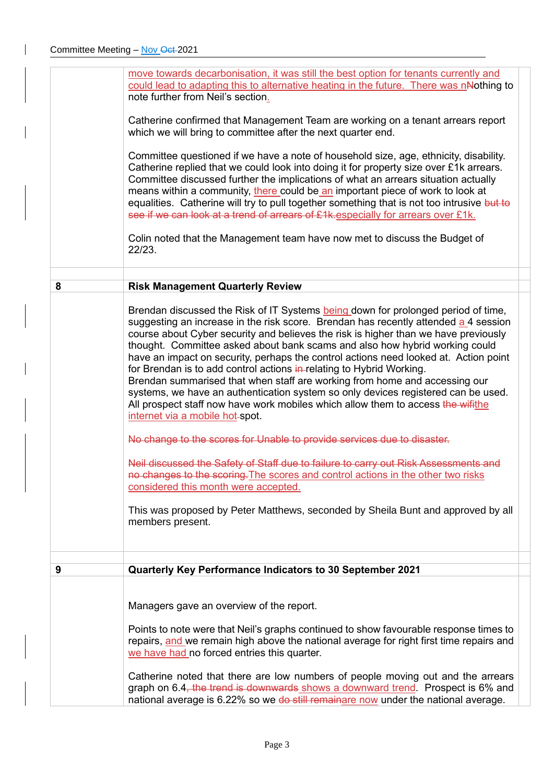|   | repairs, and we remain high above the national average for right first time repairs and<br>we have had no forced entries this quarter.<br>Catherine noted that there are low numbers of people moving out and the arrears<br>graph on 6.4, the trend is downwards shows a downward trend. Prospect is 6% and<br>national average is 6.22% so we do still remainare now under the national average.                                                                                                                                                                                                                                                                                                                                                                                                                                                                                                                                                                                                      |  |
|---|---------------------------------------------------------------------------------------------------------------------------------------------------------------------------------------------------------------------------------------------------------------------------------------------------------------------------------------------------------------------------------------------------------------------------------------------------------------------------------------------------------------------------------------------------------------------------------------------------------------------------------------------------------------------------------------------------------------------------------------------------------------------------------------------------------------------------------------------------------------------------------------------------------------------------------------------------------------------------------------------------------|--|
|   | Managers gave an overview of the report.<br>Points to note were that Neil's graphs continued to show favourable response times to                                                                                                                                                                                                                                                                                                                                                                                                                                                                                                                                                                                                                                                                                                                                                                                                                                                                       |  |
|   |                                                                                                                                                                                                                                                                                                                                                                                                                                                                                                                                                                                                                                                                                                                                                                                                                                                                                                                                                                                                         |  |
| 9 | thought. Committee asked about bank scams and also how hybrid working could<br>have an impact on security, perhaps the control actions need looked at. Action point<br>for Brendan is to add control actions in-relating to Hybrid Working.<br>Brendan summarised that when staff are working from home and accessing our<br>systems, we have an authentication system so only devices registered can be used.<br>All prospect staff now have work mobiles which allow them to access the wifithe<br>internet via a mobile hot-spot.<br>No change to the scores for Unable to provide services due to disaster.<br>Neil discussed the Safety of Staff due to failure to carry out Risk Assessments and<br>no changes to the scoring. The scores and control actions in the other two risks<br>considered this month were accepted.<br>This was proposed by Peter Matthews, seconded by Sheila Bunt and approved by all<br>members present.<br>Quarterly Key Performance Indicators to 30 September 2021 |  |
|   | Brendan discussed the Risk of IT Systems being down for prolonged period of time,<br>suggesting an increase in the risk score. Brendan has recently attended a 4 session<br>course about Cyber security and believes the risk is higher than we have previously                                                                                                                                                                                                                                                                                                                                                                                                                                                                                                                                                                                                                                                                                                                                         |  |
| 8 | <b>Risk Management Quarterly Review</b>                                                                                                                                                                                                                                                                                                                                                                                                                                                                                                                                                                                                                                                                                                                                                                                                                                                                                                                                                                 |  |
|   | 22/23.                                                                                                                                                                                                                                                                                                                                                                                                                                                                                                                                                                                                                                                                                                                                                                                                                                                                                                                                                                                                  |  |
|   | Committee questioned if we have a note of household size, age, ethnicity, disability.<br>Catherine replied that we could look into doing it for property size over £1k arrears.<br>Committee discussed further the implications of what an arrears situation actually<br>means within a community, there could be an important piece of work to look at<br>equalities. Catherine will try to pull together something that is not too intrusive but to<br>see if we can look at a trend of arrears of £1k. especially for arrears over £1k.<br>Colin noted that the Management team have now met to discuss the Budget of                                                                                                                                                                                                                                                                                                                                                                                |  |
|   | Catherine confirmed that Management Team are working on a tenant arrears report<br>which we will bring to committee after the next quarter end.                                                                                                                                                                                                                                                                                                                                                                                                                                                                                                                                                                                                                                                                                                                                                                                                                                                         |  |
|   | move towards decarbonisation, it was still the best option for tenants currently and<br>could lead to adapting this to alternative heating in the future. There was nNothing to<br>note further from Neil's section.                                                                                                                                                                                                                                                                                                                                                                                                                                                                                                                                                                                                                                                                                                                                                                                    |  |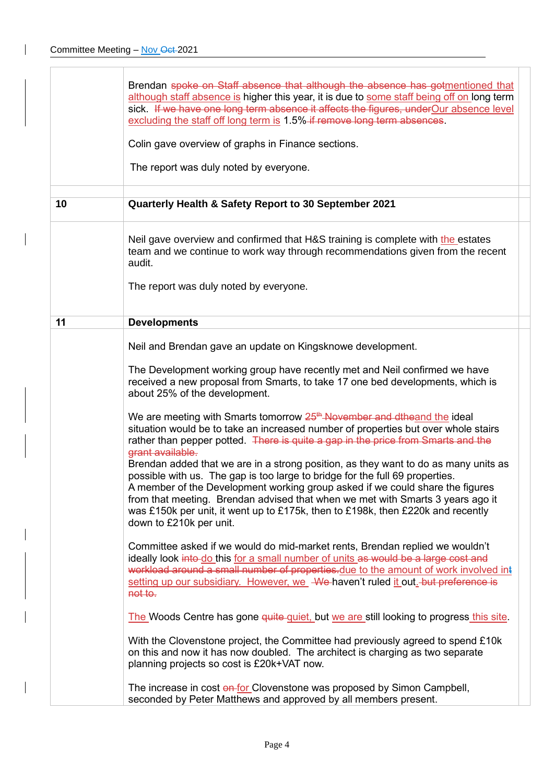$\mathbf{I}$ 

|    | Brendan spoke on Staff absence that although the absence has gotmentioned that<br>although staff absence is higher this year, it is due to some staff being off on long term<br>sick. If we have one long term absence it affects the figures, under Our absence level<br>excluding the staff off long term is 1.5% if remove long term absences.<br>Colin gave overview of graphs in Finance sections.<br>The report was duly noted by everyone.                                                                                                                                                                                                                                                                                                                                                                                                                                                                                                                                                        |
|----|----------------------------------------------------------------------------------------------------------------------------------------------------------------------------------------------------------------------------------------------------------------------------------------------------------------------------------------------------------------------------------------------------------------------------------------------------------------------------------------------------------------------------------------------------------------------------------------------------------------------------------------------------------------------------------------------------------------------------------------------------------------------------------------------------------------------------------------------------------------------------------------------------------------------------------------------------------------------------------------------------------|
| 10 | Quarterly Health & Safety Report to 30 September 2021                                                                                                                                                                                                                                                                                                                                                                                                                                                                                                                                                                                                                                                                                                                                                                                                                                                                                                                                                    |
|    | Neil gave overview and confirmed that H&S training is complete with the estates<br>team and we continue to work way through recommendations given from the recent<br>audit.<br>The report was duly noted by everyone.                                                                                                                                                                                                                                                                                                                                                                                                                                                                                                                                                                                                                                                                                                                                                                                    |
| 11 | <b>Developments</b>                                                                                                                                                                                                                                                                                                                                                                                                                                                                                                                                                                                                                                                                                                                                                                                                                                                                                                                                                                                      |
|    | Neil and Brendan gave an update on Kingsknowe development.<br>The Development working group have recently met and Neil confirmed we have<br>received a new proposal from Smarts, to take 17 one bed developments, which is<br>about 25% of the development.<br>We are meeting with Smarts tomorrow 25 <sup>th</sup> November and dtheand the ideal<br>situation would be to take an increased number of properties but over whole stairs<br>rather than pepper potted. There is quite a gap in the price from Smarts and the<br>grant available.<br>Brendan added that we are in a strong position, as they want to do as many units as<br>possible with us. The gap is too large to bridge for the full 69 properties.<br>A member of the Development working group asked if we could share the figures<br>from that meeting. Brendan advised that when we met with Smarts 3 years ago it<br>was £150k per unit, it went up to £175k, then to £198k, then £220k and recently<br>down to £210k per unit. |
|    | Committee asked if we would do mid-market rents, Brendan replied we wouldn't<br>ideally look into-do this for a small number of units as would be a large cost and<br>workload around a small number of properties.due to the amount of work involved int<br>setting up our subsidiary. However, we We haven't ruled it out. but preference is<br>not to.<br>The Woods Centre has gone quite quiet, but we are still looking to progress this site.<br>With the Clovenstone project, the Committee had previously agreed to spend £10k<br>on this and now it has now doubled. The architect is charging as two separate<br>planning projects so cost is £20k+VAT now.<br>The increase in cost on for Clovenstone was proposed by Simon Campbell,<br>seconded by Peter Matthews and approved by all members present.                                                                                                                                                                                      |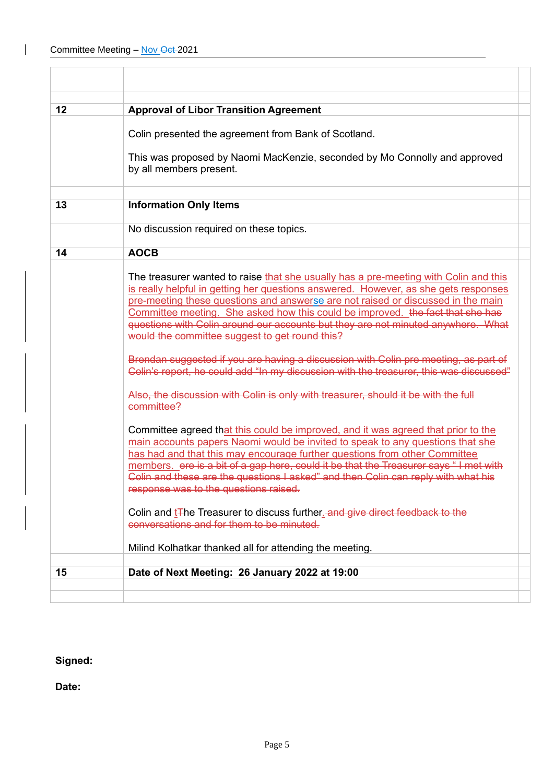$\overline{\phantom{a}}$ 

| 12 | <b>Approval of Libor Transition Agreement</b>                                                                                                                                                                                                                                                                                                                                                                                                                                           |
|----|-----------------------------------------------------------------------------------------------------------------------------------------------------------------------------------------------------------------------------------------------------------------------------------------------------------------------------------------------------------------------------------------------------------------------------------------------------------------------------------------|
|    | Colin presented the agreement from Bank of Scotland.                                                                                                                                                                                                                                                                                                                                                                                                                                    |
|    | This was proposed by Naomi MacKenzie, seconded by Mo Connolly and approved<br>by all members present.                                                                                                                                                                                                                                                                                                                                                                                   |
| 13 | <b>Information Only Items</b>                                                                                                                                                                                                                                                                                                                                                                                                                                                           |
|    | No discussion required on these topics.                                                                                                                                                                                                                                                                                                                                                                                                                                                 |
| 14 | <b>AOCB</b>                                                                                                                                                                                                                                                                                                                                                                                                                                                                             |
|    | The treasurer wanted to raise that she usually has a pre-meeting with Colin and this<br>is really helpful in getting her questions answered. However, as she gets responses<br>pre-meeting these questions and answerse are not raised or discussed in the main<br>Committee meeting. She asked how this could be improved. the fact that she has<br>questions with Colin around our accounts but they are not minuted anywhere. What<br>would the committee suggest to get round this? |
|    | Brendan suggested if you are having a discussion with Colin pre meeting, as part of<br>Colin's report, he could add "In my discussion with the treasurer, this was discussed"                                                                                                                                                                                                                                                                                                           |
|    | Also, the discussion with Colin is only with treasurer, should it be with the full<br>committee?                                                                                                                                                                                                                                                                                                                                                                                        |
|    | Committee agreed that this could be improved, and it was agreed that prior to the<br>main accounts papers Naomi would be invited to speak to any questions that she<br>has had and that this may encourage further questions from other Committee<br>members. ere is a bit of a gap here, could it be that the Treasurer says "I met with<br>Colin and these are the questions I asked" and then Colin can reply with what his<br>response was to the questions raised.                 |
|    | Colin and t <sub>T</sub> he Treasurer to discuss further and give direct feedback to the<br>conversations and for them to be minuted.                                                                                                                                                                                                                                                                                                                                                   |
|    | Milind Kolhatkar thanked all for attending the meeting.                                                                                                                                                                                                                                                                                                                                                                                                                                 |
| 15 | Date of Next Meeting: 26 January 2022 at 19:00                                                                                                                                                                                                                                                                                                                                                                                                                                          |
|    |                                                                                                                                                                                                                                                                                                                                                                                                                                                                                         |
|    |                                                                                                                                                                                                                                                                                                                                                                                                                                                                                         |

## **Signed:**

**Date:**